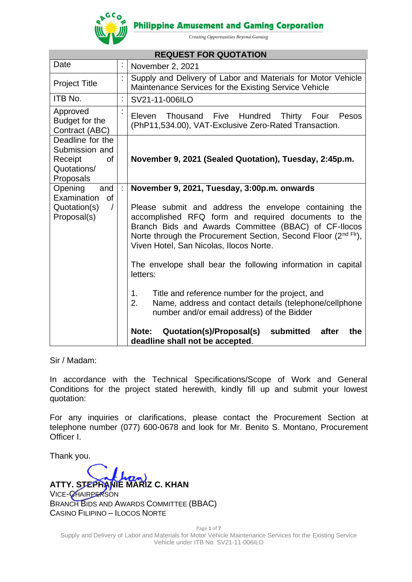

**Philippine Amusement and Gaming Corporation** 

Creating Opportunities Beyond Gaming

| <b>REQUEST FOR QUOTATION</b>                                                                                                                                                                                                                    |                                                                                                                                                                                                                                                                                   |                                                                                                                                  |  |  |  |
|-------------------------------------------------------------------------------------------------------------------------------------------------------------------------------------------------------------------------------------------------|-----------------------------------------------------------------------------------------------------------------------------------------------------------------------------------------------------------------------------------------------------------------------------------|----------------------------------------------------------------------------------------------------------------------------------|--|--|--|
| Date                                                                                                                                                                                                                                            | ÷,                                                                                                                                                                                                                                                                                | November 2, 2021                                                                                                                 |  |  |  |
| <b>Project Title</b>                                                                                                                                                                                                                            | t                                                                                                                                                                                                                                                                                 | Supply and Delivery of Labor and Materials for Motor Vehicle<br>Maintenance Services for the Existing Service Vehicle            |  |  |  |
| ITB No.                                                                                                                                                                                                                                         | ÷,                                                                                                                                                                                                                                                                                | SV21-11-006ILO                                                                                                                   |  |  |  |
| Approved<br>Budget for the<br>Contract (ABC)                                                                                                                                                                                                    |                                                                                                                                                                                                                                                                                   | Thousand<br>Five<br>Hundred<br><b>Thirty</b><br>Eleven<br>Pesos<br>Four<br>(PhP11,534.00), VAT-Exclusive Zero-Rated Transaction. |  |  |  |
| Deadline for the<br>Submission and<br>οf<br>Receipt<br>Quotations/<br>Proposals                                                                                                                                                                 |                                                                                                                                                                                                                                                                                   | November 9, 2021 (Sealed Quotation), Tuesday, 2:45p.m.                                                                           |  |  |  |
| and<br>Opening<br>Examination<br>of                                                                                                                                                                                                             | ÷                                                                                                                                                                                                                                                                                 | November 9, 2021, Tuesday, 3:00p.m. onwards                                                                                      |  |  |  |
| Quotation(s)<br>$\sqrt{2}$<br>Proposal(s)                                                                                                                                                                                                       | Please submit and address the envelope containing the<br>accomplished RFQ form and required documents to the<br>Branch Bids and Awards Committee (BBAC) of CF-Ilocos<br>Norte through the Procurement Section, Second Floor (2nd Flr),<br>Viven Hotel, San Nicolas, Ilocos Norte. |                                                                                                                                  |  |  |  |
| The envelope shall bear the following information in capital<br>letters:<br>Title and reference number for the project, and<br>1.<br>Name, address and contact details (telephone/cellphone<br>2.<br>number and/or email address) of the Bidder |                                                                                                                                                                                                                                                                                   |                                                                                                                                  |  |  |  |
|                                                                                                                                                                                                                                                 |                                                                                                                                                                                                                                                                                   |                                                                                                                                  |  |  |  |

Sir / Madam:

In accordance with the Technical Specifications/Scope of Work and General Conditions for the project stated herewith, kindly fill up and submit your lowest quotation:

For any inquiries or clarifications, please contact the Procurement Section at telephone number (077) 600-0678 and look for Mr. Benito S. Montano, Procurement Officer I.

Thank you.

**ATTY. STEPHANIE MARIZ C. KHAN** VICE-CHAIRPERSON BRANCH BIDS AND AWARDS COMMITTEE (BBAC) CASINO FILIPINO – ILOCOS NORTE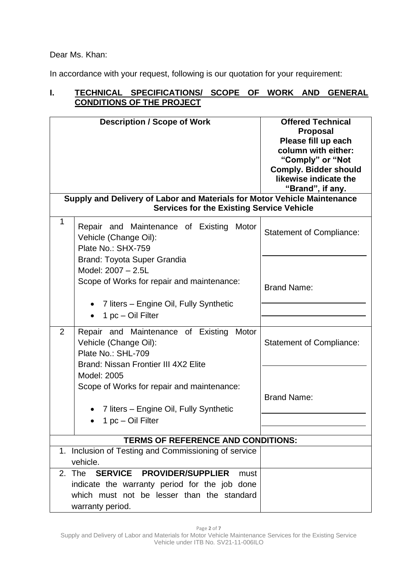Dear Ms. Khan:

In accordance with your request, following is our quotation for your requirement:

# **I. TECHNICAL SPECIFICATIONS/ SCOPE OF WORK AND GENERAL CONDITIONS OF THE PROJECT**

|                                           | <b>Description / Scope of Work</b>                                                                                                                             | <b>Offered Technical</b><br><b>Proposal</b><br>Please fill up each<br>column with either:<br>"Comply" or "Not<br><b>Comply. Bidder should</b><br>likewise indicate the<br>"Brand", if any. |  |  |
|-------------------------------------------|----------------------------------------------------------------------------------------------------------------------------------------------------------------|--------------------------------------------------------------------------------------------------------------------------------------------------------------------------------------------|--|--|
|                                           | Supply and Delivery of Labor and Materials for Motor Vehicle Maintenance<br><b>Services for the Existing Service Vehicle</b>                                   |                                                                                                                                                                                            |  |  |
| 1                                         | Repair and Maintenance of Existing<br>Motor<br>Vehicle (Change Oil):<br>Plate No.: SHX-759                                                                     | <b>Statement of Compliance:</b>                                                                                                                                                            |  |  |
|                                           | <b>Brand: Toyota Super Grandia</b><br>Model: 2007 - 2.5L<br>Scope of Works for repair and maintenance:                                                         |                                                                                                                                                                                            |  |  |
|                                           |                                                                                                                                                                | <b>Brand Name:</b>                                                                                                                                                                         |  |  |
|                                           | 7 liters – Engine Oil, Fully Synthetic<br>1 pc - Oil Filter<br>$\bullet$                                                                                       |                                                                                                                                                                                            |  |  |
| 2                                         | Repair and Maintenance of Existing<br>Motor<br>Vehicle (Change Oil):<br>Plate No.: SHL-709                                                                     | <b>Statement of Compliance:</b>                                                                                                                                                            |  |  |
|                                           | Brand: Nissan Frontier III 4X2 Elite<br>Model: 2005                                                                                                            |                                                                                                                                                                                            |  |  |
|                                           | Scope of Works for repair and maintenance:                                                                                                                     | <b>Brand Name:</b>                                                                                                                                                                         |  |  |
|                                           | 7 liters - Engine Oil, Fully Synthetic<br>1 pc - Oil Filter                                                                                                    |                                                                                                                                                                                            |  |  |
| <b>TERMS OF REFERENCE AND CONDITIONS:</b> |                                                                                                                                                                |                                                                                                                                                                                            |  |  |
|                                           | 1. Inclusion of Testing and Commissioning of service<br>vehicle.                                                                                               |                                                                                                                                                                                            |  |  |
|                                           | SERVICE PROVIDER/SUPPLIER<br>2. The<br>must<br>indicate the warranty period for the job done<br>which must not be lesser than the standard<br>warranty period. |                                                                                                                                                                                            |  |  |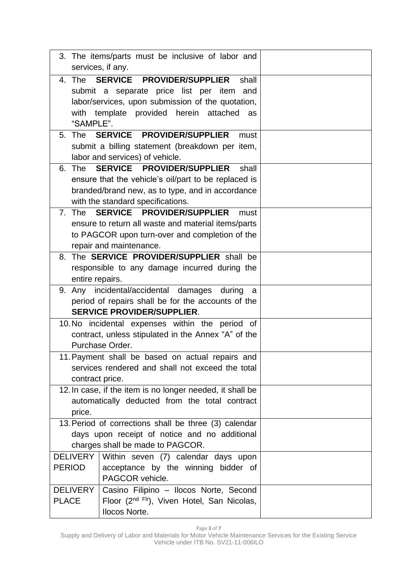|                                                                                                                         | 3. The items/parts must be inclusive of labor and<br>services, if any.                                                                                                                         |  |  |  |  |  |
|-------------------------------------------------------------------------------------------------------------------------|------------------------------------------------------------------------------------------------------------------------------------------------------------------------------------------------|--|--|--|--|--|
| "SAMPLE".                                                                                                               | 4. The SERVICE PROVIDER/SUPPLIER<br>shall<br>submit a separate price list per item<br>and<br>labor/services, upon submission of the quotation,<br>with template provided herein attached<br>as |  |  |  |  |  |
| The<br>5.                                                                                                               | SERVICE PROVIDER/SUPPLIER<br>must<br>submit a billing statement (breakdown per item,<br>labor and services) of vehicle.                                                                        |  |  |  |  |  |
| The<br>6.                                                                                                               | SERVICE PROVIDER/SUPPLIER<br>shall<br>ensure that the vehicle's oil/part to be replaced is<br>branded/brand new, as to type, and in accordance<br>with the standard specifications.            |  |  |  |  |  |
|                                                                                                                         | 7. The SERVICE PROVIDER/SUPPLIER<br>must<br>ensure to return all waste and material items/parts<br>to PAGCOR upon turn-over and completion of the<br>repair and maintenance.                   |  |  |  |  |  |
|                                                                                                                         | 8. The SERVICE PROVIDER/SUPPLIER shall be<br>responsible to any damage incurred during the<br>entire repairs.                                                                                  |  |  |  |  |  |
|                                                                                                                         | 9. Any incidental/accidental damages<br>during<br>a<br>period of repairs shall be for the accounts of the<br><b>SERVICE PROVIDER/SUPPLIER.</b>                                                 |  |  |  |  |  |
|                                                                                                                         | 10. No incidental expenses within the period of<br>contract, unless stipulated in the Annex "A" of the<br>Purchase Order.                                                                      |  |  |  |  |  |
| 11. Payment shall be based on actual repairs and<br>services rendered and shall not exceed the total<br>contract price. |                                                                                                                                                                                                |  |  |  |  |  |
| price.                                                                                                                  | 12. In case, if the item is no longer needed, it shall be<br>automatically deducted from the total contract                                                                                    |  |  |  |  |  |
|                                                                                                                         | 13. Period of corrections shall be three (3) calendar<br>days upon receipt of notice and no additional<br>charges shall be made to PAGCOR.                                                     |  |  |  |  |  |
| <b>DELIVERY</b><br><b>PERIOD</b>                                                                                        | Within seven (7) calendar days upon<br>acceptance by the winning bidder of<br>PAGCOR vehicle.                                                                                                  |  |  |  |  |  |
| <b>DELIVERY</b><br><b>PLACE</b>                                                                                         | Casino Filipino - Ilocos Norte, Second<br>Floor (2 <sup>nd Flr</sup> ), Viven Hotel, San Nicolas,<br>Ilocos Norte.                                                                             |  |  |  |  |  |

Page **3** of **7**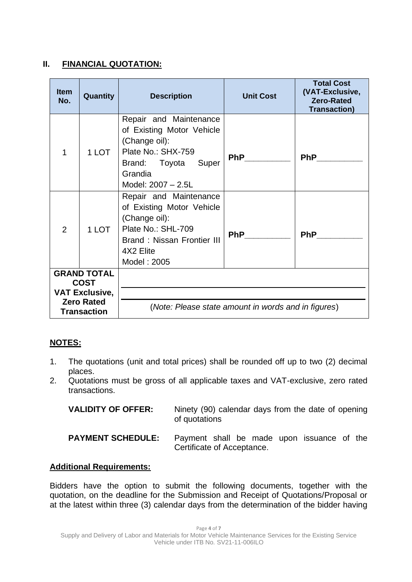### **II. FINANCIAL QUOTATION:**

| <b>Item</b><br>No.                                         | Quantity | <b>Description</b>                                                                                                                                          | <b>Unit Cost</b> | <b>Total Cost</b><br>(VAT-Exclusive,<br><b>Zero-Rated</b><br><b>Transaction)</b> |  |
|------------------------------------------------------------|----------|-------------------------------------------------------------------------------------------------------------------------------------------------------------|------------------|----------------------------------------------------------------------------------|--|
| 1                                                          | 1 LOT    | Repair and Maintenance<br>of Existing Motor Vehicle<br>(Change oil):<br>Plate No.: SHX-759<br>Brand: Toyota Super<br>Grandia<br>Model: 2007 - 2.5L          | <b>PhP</b>       | <b>PhP</b>                                                                       |  |
| 2                                                          | 1 LOT    | Repair and Maintenance<br>of Existing Motor Vehicle<br>(Change oil):<br>Plate No.: SHL-709<br><b>Brand: Nissan Frontier III</b><br>4X2 Elite<br>Model: 2005 | <b>PhP</b>       | <b>PhP</b>                                                                       |  |
| <b>GRAND TOTAL</b><br><b>COST</b><br><b>VAT Exclusive,</b> |          |                                                                                                                                                             |                  |                                                                                  |  |
| <b>Zero Rated</b><br><b>Transaction</b>                    |          | (Note: Please state amount in words and in figures)                                                                                                         |                  |                                                                                  |  |

## **NOTES:**

- 1. The quotations (unit and total prices) shall be rounded off up to two (2) decimal places.
- 2. Quotations must be gross of all applicable taxes and VAT-exclusive, zero rated transactions.

| <b>VALIDITY OF OFFER:</b> | Ninety (90) calendar days from the date of opening<br>of quotations      |
|---------------------------|--------------------------------------------------------------------------|
| <b>PAYMENT SCHEDULE:</b>  | Payment shall be made upon issuance of the<br>Certificate of Acceptance. |

### **Additional Requirements:**

Bidders have the option to submit the following documents, together with the quotation, on the deadline for the Submission and Receipt of Quotations/Proposal or at the latest within three (3) calendar days from the determination of the bidder having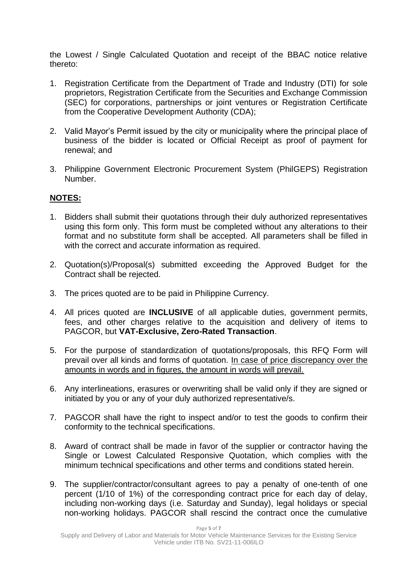the Lowest / Single Calculated Quotation and receipt of the BBAC notice relative thereto:

- 1. Registration Certificate from the Department of Trade and Industry (DTI) for sole proprietors, Registration Certificate from the Securities and Exchange Commission (SEC) for corporations, partnerships or joint ventures or Registration Certificate from the Cooperative Development Authority (CDA);
- 2. Valid Mayor's Permit issued by the city or municipality where the principal place of business of the bidder is located or Official Receipt as proof of payment for renewal; and
- 3. Philippine Government Electronic Procurement System (PhilGEPS) Registration Number.

### **NOTES:**

- 1. Bidders shall submit their quotations through their duly authorized representatives using this form only. This form must be completed without any alterations to their format and no substitute form shall be accepted. All parameters shall be filled in with the correct and accurate information as required.
- 2. Quotation(s)/Proposal(s) submitted exceeding the Approved Budget for the Contract shall be rejected.
- 3. The prices quoted are to be paid in Philippine Currency.
- 4. All prices quoted are **INCLUSIVE** of all applicable duties, government permits, fees, and other charges relative to the acquisition and delivery of items to PAGCOR, but **VAT-Exclusive, Zero-Rated Transaction**.
- 5. For the purpose of standardization of quotations/proposals, this RFQ Form will prevail over all kinds and forms of quotation. In case of price discrepancy over the amounts in words and in figures, the amount in words will prevail.
- 6. Any interlineations, erasures or overwriting shall be valid only if they are signed or initiated by you or any of your duly authorized representative/s.
- 7. PAGCOR shall have the right to inspect and/or to test the goods to confirm their conformity to the technical specifications.
- 8. Award of contract shall be made in favor of the supplier or contractor having the Single or Lowest Calculated Responsive Quotation, which complies with the minimum technical specifications and other terms and conditions stated herein.
- 9. The supplier/contractor/consultant agrees to pay a penalty of one-tenth of one percent (1/10 of 1%) of the corresponding contract price for each day of delay, including non-working days (i.e. Saturday and Sunday), legal holidays or special non-working holidays. PAGCOR shall rescind the contract once the cumulative

Page **5** of **7**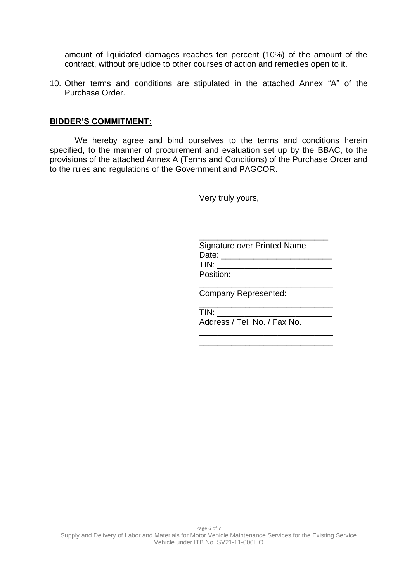amount of liquidated damages reaches ten percent (10%) of the amount of the contract, without prejudice to other courses of action and remedies open to it.

10. Other terms and conditions are stipulated in the attached Annex "A" of the Purchase Order.

#### **BIDDER'S COMMITMENT:**

We hereby agree and bind ourselves to the terms and conditions herein specified, to the manner of procurement and evaluation set up by the BBAC, to the provisions of the attached Annex A (Terms and Conditions) of the Purchase Order and to the rules and regulations of the Government and PAGCOR.

Very truly yours,

| <b>Signature over Printed Name</b> |  |
|------------------------------------|--|
| Date:                              |  |
| TIN:                               |  |
| Position:                          |  |
| <b>Company Represented:</b>        |  |
|                                    |  |

\_\_\_\_\_\_\_\_\_\_\_\_\_\_\_\_\_\_\_\_\_\_\_\_\_\_\_\_\_ \_\_\_\_\_\_\_\_\_\_\_\_\_\_\_\_\_\_\_\_\_\_\_\_\_\_\_\_\_

 $TIN:$ Address / Tel. No. / Fax No.